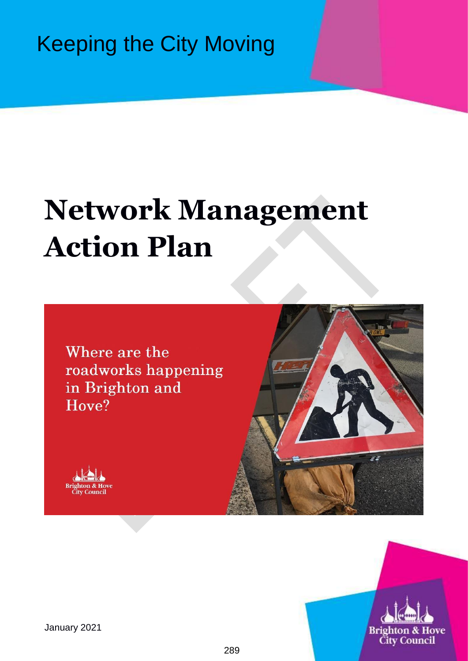Keeping the City Moving

# **Network Management Action Plan**

Where are the roadworks happening in Brighton and Hove?







January 2021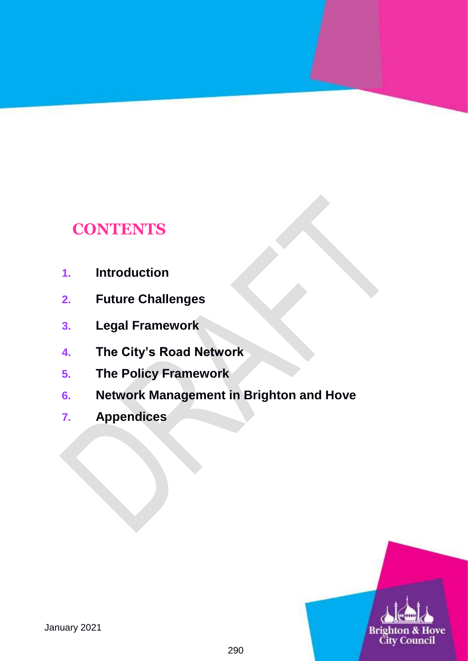# **CONTENTS**

- **1. Introduction**
- **2. Future Challenges**
- **3. Legal Framework**
- **4. The City's Road Network**
- **5. The Policy Framework**
- **6. Network Management in Brighton and Hove**
- **7. Appendices**

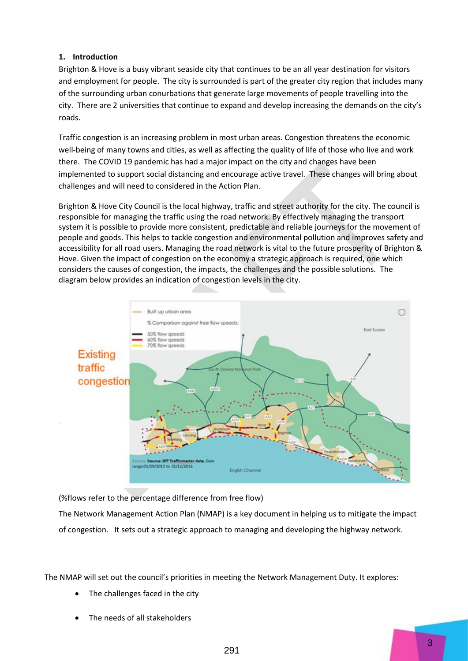# **1. Introduction**

Brighton & Hove is a busy vibrant seaside city that continues to be an all year destination for visitors and employment for people. The city is surrounded is part of the greater city region that includes many of the surrounding urban conurbations that generate large movements of people travelling into the city. There are 2 universities that continue to expand and develop increasing the demands on the city's roads.

Traffic congestion is an increasing problem in most urban areas. Congestion threatens the economic well-being of many towns and cities, as well as affecting the quality of life of those who live and work there. The COVID 19 pandemic has had a major impact on the city and changes have been implemented to support social distancing and encourage active travel. These changes will bring about challenges and will need to considered in the Action Plan.

Brighton & Hove City Council is the local highway, traffic and street authority for the city. The council is responsible for managing the traffic using the road network. By effectively managing the transport system it is possible to provide more consistent, predictable and reliable journeys for the movement of people and goods. This helps to tackle congestion and environmental pollution and improves safety and accessibility for all road users. Managing the road network is vital to the future prosperity of Brighton & Hove. Given the impact of congestion on the economy a strategic approach is required, one which considers the causes of congestion, the impacts, the challenges and the possible solutions. The diagram below provides an indication of congestion levels in the city.



(%flows refer to the percentage difference from free flow)

The Network Management Action Plan (NMAP) is a key document in helping us to mitigate the impact of congestion. It sets out a strategic approach to managing and developing the highway network.

The NMAP will set out the council's priorities in meeting the Network Management Duty. It explores:

- The challenges faced in the city
- The needs of all stakeholders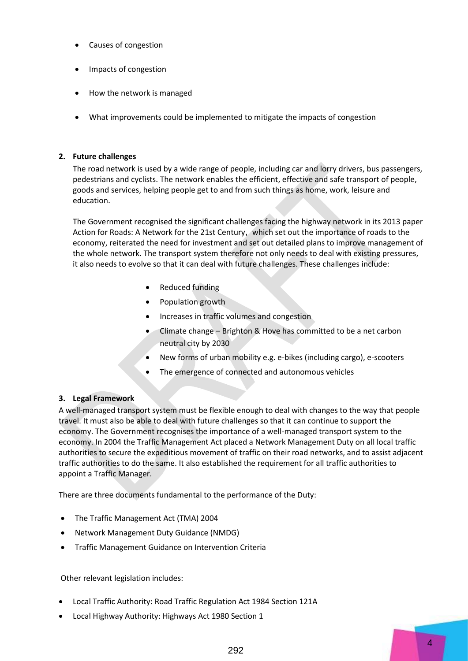- Causes of congestion
- Impacts of congestion
- How the network is managed
- What improvements could be implemented to mitigate the impacts of congestion

#### **2. Future challenges**

The road network is used by a wide range of people, including car and lorry drivers, bus passengers, pedestrians and cyclists. The network enables the efficient, effective and safe transport of people, goods and services, helping people get to and from such things as home, work, leisure and education.

The Government recognised the significant challenges facing the highway network in its 2013 paper Action for Roads: A Network for the 21st Century, which set out the importance of roads to the economy, reiterated the need for investment and set out detailed plans to improve management of the whole network. The transport system therefore not only needs to deal with existing pressures, it also needs to evolve so that it can deal with future challenges. These challenges include:

- Reduced funding
- Population growth
- Increases in traffic volumes and congestion
- Climate change Brighton & Hove has committed to be a net carbon neutral city by 2030
- New forms of urban mobility e.g. e-bikes (including cargo), e-scooters
- The emergence of connected and autonomous vehicles

## **3. Legal Framework**

A well-managed transport system must be flexible enough to deal with changes to the way that people travel. It must also be able to deal with future challenges so that it can continue to support the economy. The Government recognises the importance of a well-managed transport system to the economy. In 2004 the Traffic Management Act placed a Network Management Duty on all local traffic authorities to secure the expeditious movement of traffic on their road networks, and to assist adjacent traffic authorities to do the same. It also established the requirement for all traffic authorities to appoint a Traffic Manager.

There are three documents fundamental to the performance of the Duty:

- The Traffic Management Act (TMA) 2004
- Network Management Duty Guidance (NMDG)
- Traffic Management Guidance on Intervention Criteria

Other relevant legislation includes:

- Local Traffic Authority: Road Traffic Regulation Act 1984 Section 121A
- Local Highway Authority: Highways Act 1980 Section 1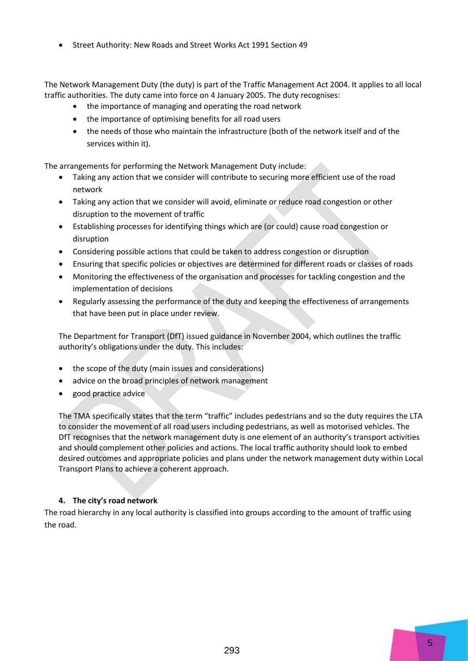Street Authority: New Roads and Street Works Act 1991 Section 49

The Network Management Duty (the duty) is part of the Traffic Management Act 2004. It applies to all local traffic authorities. The duty came into force on 4 January 2005. The duty recognises:

- the importance of managing and operating the road network
- the importance of optimising benefits for all road users
- the needs of those who maintain the infrastructure (both of the network itself and of the services within it).

The arrangements for performing the Network Management Duty include:

- Taking any action that we consider will contribute to securing more efficient use of the road network
- Taking any action that we consider will avoid, eliminate or reduce road congestion or other disruption to the movement of traffic
- Establishing processes for identifying things which are (or could) cause road congestion or disruption
- Considering possible actions that could be taken to address congestion or disruption
- Ensuring that specific policies or objectives are determined for different roads or classes of roads
- Monitoring the effectiveness of the organisation and processes for tackling congestion and the implementation of decisions
- Regularly assessing the performance of the duty and keeping the effectiveness of arrangements that have been put in place under review.

The Department for Transport (DfT) issued guidance in November 2004, which outlines the traffic authority's obligations under the duty. This includes:

- the scope of the duty (main issues and considerations)
- advice on the broad principles of network management
- good practice advice

The TMA specifically states that the term "traffic" includes pedestrians and so the duty requires the LTA to consider the movement of all road users including pedestrians, as well as motorised vehicles. The DfT recognises that the network management duty is one element of an authority's transport activities and should complement other policies and actions. The local traffic authority should look to embed desired outcomes and appropriate policies and plans under the network management duty within Local Transport Plans to achieve a coherent approach.

## **4. The city's road network**

The road hierarchy in any local authority is classified into groups according to the amount of traffic using the road.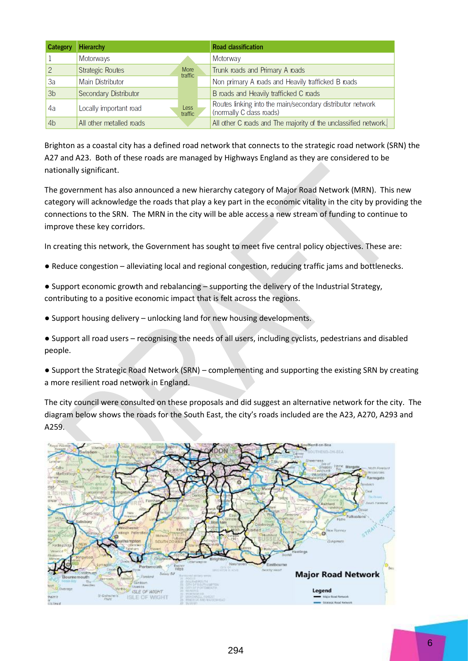| Category       | <b>Hierarchy</b>         |                        | <b>Road classification</b>                                                             |
|----------------|--------------------------|------------------------|----------------------------------------------------------------------------------------|
|                | Motorways                |                        | Motorway                                                                               |
| 2              | <b>Strategic Routes</b>  | <b>More</b><br>traffic | Trunk roads and Primary A roads                                                        |
| 3a             | <b>Main Distributor</b>  |                        | Non primary A roads and Heavily trafficked B roads                                     |
| 3 <sub>b</sub> | Secondary Distributor    |                        | B roads and Heavily trafficked C roads                                                 |
| 4a             | Locally important road   | <b>Less</b><br>traffic | Routes linking into the main/secondary distributor network<br>(normally C class roads) |
| 4 <sub>b</sub> | All other metalled roads |                        | All other C roads and The majority of the unclassified network.                        |

Brighton as a coastal city has a defined road network that connects to the strategic road network (SRN) the A27 and A23. Both of these roads are managed by Highways England as they are considered to be nationally significant.

The government has also announced a new hierarchy category of Major Road Network (MRN). This new category will acknowledge the roads that play a key part in the economic vitality in the city by providing the connections to the SRN. The MRN in the city will be able access a new stream of funding to continue to improve these key corridors.

In creating this network, the Government has sought to meet five central policy objectives. These are:

- Reduce congestion alleviating local and regional congestion, reducing traffic jams and bottlenecks.
- Support economic growth and rebalancing supporting the delivery of the Industrial Strategy, contributing to a positive economic impact that is felt across the regions.
- Support housing delivery unlocking land for new housing developments.
- Support all road users recognising the needs of all users, including cyclists, pedestrians and disabled people.
- Support the Strategic Road Network (SRN) complementing and supporting the existing SRN by creating a more resilient road network in England.

The city council were consulted on these proposals and did suggest an alternative network for the city. The diagram below shows the roads for the South East, the city's roads included are the A23, A270, A293 and A259.

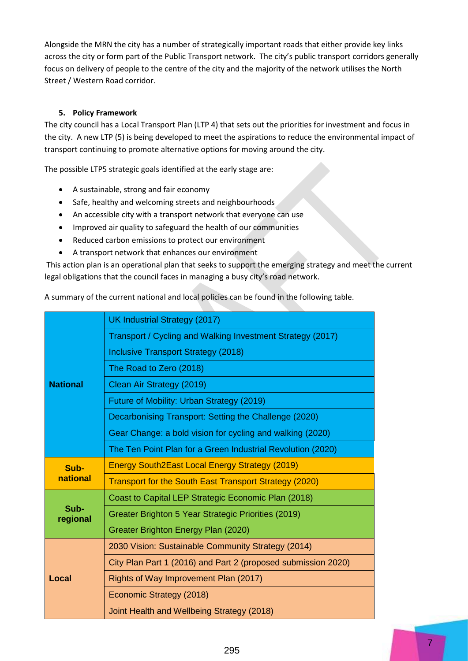Alongside the MRN the city has a number of strategically important roads that either provide key links across the city or form part of the Public Transport network. The city's public transport corridors generally focus on delivery of people to the centre of the city and the majority of the network utilises the North Street / Western Road corridor.

# **5. Policy Framework**

The city council has a Local Transport Plan (LTP 4) that sets out the priorities for investment and focus in the city. A new LTP (5) is being developed to meet the aspirations to reduce the environmental impact of transport continuing to promote alternative options for moving around the city.

The possible LTP5 strategic goals identified at the early stage are:

- A sustainable, strong and fair economy
- Safe, healthy and welcoming streets and neighbourhoods
- An accessible city with a transport network that everyone can use
- Improved air quality to safeguard the health of our communities
- Reduced carbon emissions to protect our environment
- A transport network that enhances our environment

This action plan is an operational plan that seeks to support the emerging strategy and meet the current legal obligations that the council faces in managing a busy city's road network.

A summary of the current national and local policies can be found in the following table.

|                  | UK Industrial Strategy (2017)                                 |  |  |
|------------------|---------------------------------------------------------------|--|--|
|                  | Transport / Cycling and Walking Investment Strategy (2017)    |  |  |
|                  | Inclusive Transport Strategy (2018)                           |  |  |
|                  | The Road to Zero (2018)                                       |  |  |
| <b>National</b>  | Clean Air Strategy (2019)                                     |  |  |
|                  | Future of Mobility: Urban Strategy (2019)                     |  |  |
|                  | Decarbonising Transport: Setting the Challenge (2020)         |  |  |
|                  | Gear Change: a bold vision for cycling and walking (2020)     |  |  |
|                  | The Ten Point Plan for a Green Industrial Revolution (2020)   |  |  |
| Sub-             | <b>Energy South2East Local Energy Strategy (2019)</b>         |  |  |
| national         | <b>Transport for the South East Transport Strategy (2020)</b> |  |  |
|                  | Coast to Capital LEP Strategic Economic Plan (2018)           |  |  |
| Sub-<br>regional | Greater Brighton 5 Year Strategic Priorities (2019)           |  |  |
|                  | Greater Brighton Energy Plan (2020)                           |  |  |
|                  | 2030 Vision: Sustainable Community Strategy (2014)            |  |  |
|                  | City Plan Part 1 (2016) and Part 2 (proposed submission 2020) |  |  |
| Local            | Rights of Way Improvement Plan (2017)                         |  |  |
|                  | Economic Strategy (2018)                                      |  |  |
|                  | Joint Health and Wellbeing Strategy (2018)                    |  |  |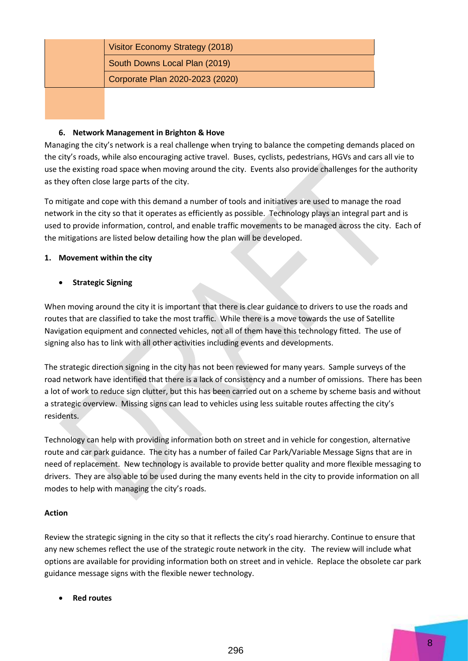| Visitor Economy Strategy (2018) |  |
|---------------------------------|--|
| South Downs Local Plan (2019)   |  |
| Corporate Plan 2020-2023 (2020) |  |

#### **6. Network Management in Brighton & Hove**

Managing the city's network is a real challenge when trying to balance the competing demands placed on the city's roads, while also encouraging active travel. Buses, cyclists, pedestrians, HGVs and cars all vie to use the existing road space when moving around the city. Events also provide challenges for the authority as they often close large parts of the city.

To mitigate and cope with this demand a number of tools and initiatives are used to manage the road network in the city so that it operates as efficiently as possible. Technology plays an integral part and is used to provide information, control, and enable traffic movements to be managed across the city. Each of the mitigations are listed below detailing how the plan will be developed.

#### **1. Movement within the city**

## **Strategic Signing**

When moving around the city it is important that there is clear guidance to drivers to use the roads and routes that are classified to take the most traffic. While there is a move towards the use of Satellite Navigation equipment and connected vehicles, not all of them have this technology fitted. The use of signing also has to link with all other activities including events and developments.

The strategic direction signing in the city has not been reviewed for many years. Sample surveys of the road network have identified that there is a lack of consistency and a number of omissions. There has been a lot of work to reduce sign clutter, but this has been carried out on a scheme by scheme basis and without a strategic overview. Missing signs can lead to vehicles using less suitable routes affecting the city's residents.

Technology can help with providing information both on street and in vehicle for congestion, alternative route and car park guidance. The city has a number of failed Car Park/Variable Message Signs that are in need of replacement. New technology is available to provide better quality and more flexible messaging to drivers. They are also able to be used during the many events held in the city to provide information on all modes to help with managing the city's roads.

## **Action**

Review the strategic signing in the city so that it reflects the city's road hierarchy. Continue to ensure that any new schemes reflect the use of the strategic route network in the city. The review will include what options are available for providing information both on street and in vehicle. Replace the obsolete car park guidance message signs with the flexible newer technology.

**Red routes**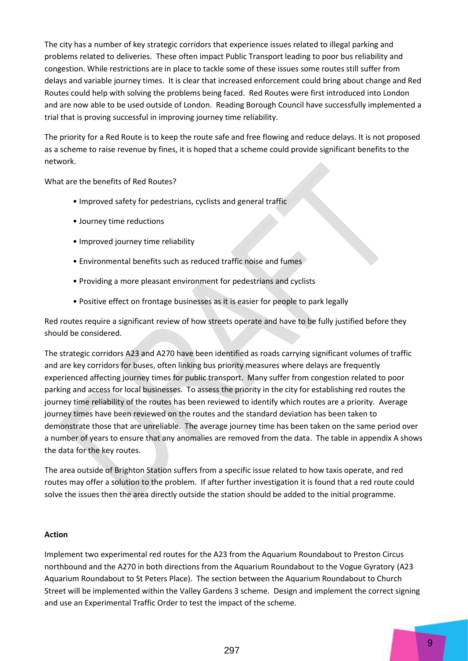The city has a number of key strategic corridors that experience issues related to illegal parking and problems related to deliveries. These often impact Public Transport leading to poor bus reliability and congestion. While restrictions are in place to tackle some of these issues some routes still suffer from delays and variable journey times. It is clear that increased enforcement could bring about change and Red Routes could help with solving the problems being faced. Red Routes were first introduced into London and are now able to be used outside of London. Reading Borough Council have successfully implemented a trial that is proving successful in improving journey time reliability.

The priority for a Red Route is to keep the route safe and free flowing and reduce delays. It is not proposed as a scheme to raise revenue by fines, it is hoped that a scheme could provide significant benefits to the network.

What are the benefits of Red Routes?

- Improved safety for pedestrians, cyclists and general traffic
- Journey time reductions
- Improved journey time reliability
- Environmental benefits such as reduced traffic noise and fumes
- Providing a more pleasant environment for pedestrians and cyclists
- Positive effect on frontage businesses as it is easier for people to park legally

Red routes require a significant review of how streets operate and have to be fully justified before they should be considered.

The strategic corridors A23 and A270 have been identified as roads carrying significant volumes of traffic and are key corridors for buses, often linking bus priority measures where delays are frequently experienced affecting journey times for public transport. Many suffer from congestion related to poor parking and access for local businesses. To assess the priority in the city for establishing red routes the journey time reliability of the routes has been reviewed to identify which routes are a priority. Average journey times have been reviewed on the routes and the standard deviation has been taken to demonstrate those that are unreliable. The average journey time has been taken on the same period over a number of years to ensure that any anomalies are removed from the data. The table in appendix A shows the data for the key routes.

The area outside of Brighton Station suffers from a specific issue related to how taxis operate, and red routes may offer a solution to the problem. If after further investigation it is found that a red route could solve the issues then the area directly outside the station should be added to the initial programme.

#### **Action**

Implement two experimental red routes for the A23 from the Aquarium Roundabout to Preston Circus northbound and the A270 in both directions from the Aquarium Roundabout to the Vogue Gyratory (A23 Aquarium Roundabout to St Peters Place). The section between the Aquarium Roundabout to Church Street will be implemented within the Valley Gardens 3 scheme. Design and implement the correct signing and use an Experimental Traffic Order to test the impact of the scheme.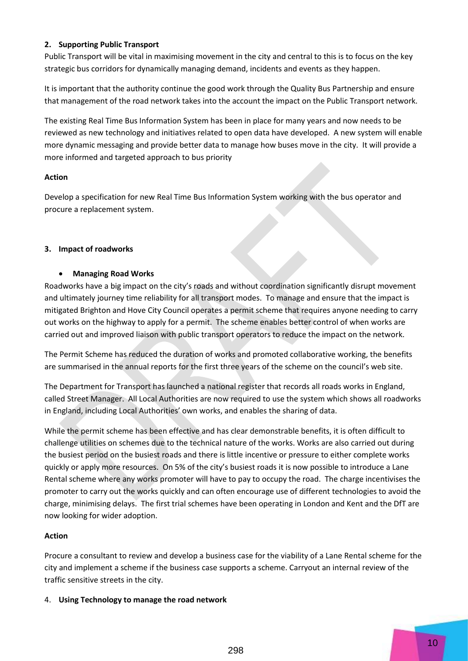## **2. Supporting Public Transport**

Public Transport will be vital in maximising movement in the city and central to this is to focus on the key strategic bus corridors for dynamically managing demand, incidents and events as they happen.

It is important that the authority continue the good work through the Quality Bus Partnership and ensure that management of the road network takes into the account the impact on the Public Transport network.

The existing Real Time Bus Information System has been in place for many years and now needs to be reviewed as new technology and initiatives related to open data have developed. A new system will enable more dynamic messaging and provide better data to manage how buses move in the city. It will provide a more informed and targeted approach to bus priority

#### **Action**

Develop a specification for new Real Time Bus Information System working with the bus operator and procure a replacement system.

#### **3. Impact of roadworks**

#### **Managing Road Works**

Roadworks have a big impact on the city's roads and without coordination significantly disrupt movement and ultimately journey time reliability for all transport modes. To manage and ensure that the impact is mitigated Brighton and Hove City Council operates a permit scheme that requires anyone needing to carry out works on the highway to apply for a permit. The scheme enables better control of when works are carried out and improved liaison with public transport operators to reduce the impact on the network.

The Permit Scheme has reduced the duration of works and promoted collaborative working, the benefits are summarised in the annual reports for the first three years of the scheme on the council's web site.

The Department for Transport has launched a national register that records all roads works in England, called Street Manager. All Local Authorities are now required to use the system which shows all roadworks in England, including Local Authorities' own works, and enables the sharing of data.

While the permit scheme has been effective and has clear demonstrable benefits, it is often difficult to challenge utilities on schemes due to the technical nature of the works. Works are also carried out during the busiest period on the busiest roads and there is little incentive or pressure to either complete works quickly or apply more resources. On 5% of the city's busiest roads it is now possible to introduce a Lane Rental scheme where any works promoter will have to pay to occupy the road. The charge incentivises the promoter to carry out the works quickly and can often encourage use of different technologies to avoid the charge, minimising delays. The first trial schemes have been operating in London and Kent and the DfT are now looking for wider adoption.

## **Action**

Procure a consultant to review and develop a business case for the viability of a Lane Rental scheme for the city and implement a scheme if the business case supports a scheme. Carryout an internal review of the traffic sensitive streets in the city.

#### 4. **Using Technology to manage the road network**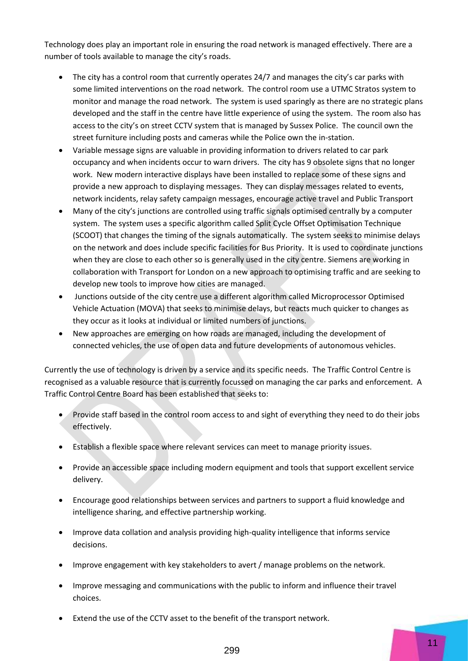Technology does play an important role in ensuring the road network is managed effectively. There are a number of tools available to manage the city's roads.

- The city has a control room that currently operates 24/7 and manages the city's car parks with some limited interventions on the road network. The control room use a UTMC Stratos system to monitor and manage the road network. The system is used sparingly as there are no strategic plans developed and the staff in the centre have little experience of using the system. The room also has access to the city's on street CCTV system that is managed by Sussex Police. The council own the street furniture including posts and cameras while the Police own the in-station.
- Variable message signs are valuable in providing information to drivers related to car park occupancy and when incidents occur to warn drivers. The city has 9 obsolete signs that no longer work. New modern interactive displays have been installed to replace some of these signs and provide a new approach to displaying messages. They can display messages related to events, network incidents, relay safety campaign messages, encourage active travel and Public Transport
- Many of the city's junctions are controlled using traffic signals optimised centrally by a computer system. The system uses a specific algorithm called Split Cycle Offset Optimisation Technique (SCOOT) that changes the timing of the signals automatically. The system seeks to minimise delays on the network and does include specific facilities for Bus Priority. It is used to coordinate junctions when they are close to each other so is generally used in the city centre. Siemens are working in collaboration with Transport for London on a new approach to optimising traffic and are seeking to develop new tools to improve how cities are managed.
- Junctions outside of the city centre use a different algorithm called Microprocessor Optimised Vehicle Actuation (MOVA) that seeks to minimise delays, but reacts much quicker to changes as they occur as it looks at individual or limited numbers of junctions.
- New approaches are emerging on how roads are managed, including the development of connected vehicles, the use of open data and future developments of autonomous vehicles.

Currently the use of technology is driven by a service and its specific needs. The Traffic Control Centre is recognised as a valuable resource that is currently focussed on managing the car parks and enforcement. A Traffic Control Centre Board has been established that seeks to:

- Provide staff based in the control room access to and sight of everything they need to do their jobs effectively.
- Establish a flexible space where relevant services can meet to manage priority issues.
- Provide an accessible space including modern equipment and tools that support excellent service delivery.
- Encourage good relationships between services and partners to support a fluid knowledge and intelligence sharing, and effective partnership working.
- Improve data collation and analysis providing high-quality intelligence that informs service decisions.
- Improve engagement with key stakeholders to avert / manage problems on the network.
- Improve messaging and communications with the public to inform and influence their travel choices.
- Extend the use of the CCTV asset to the benefit of the transport network.